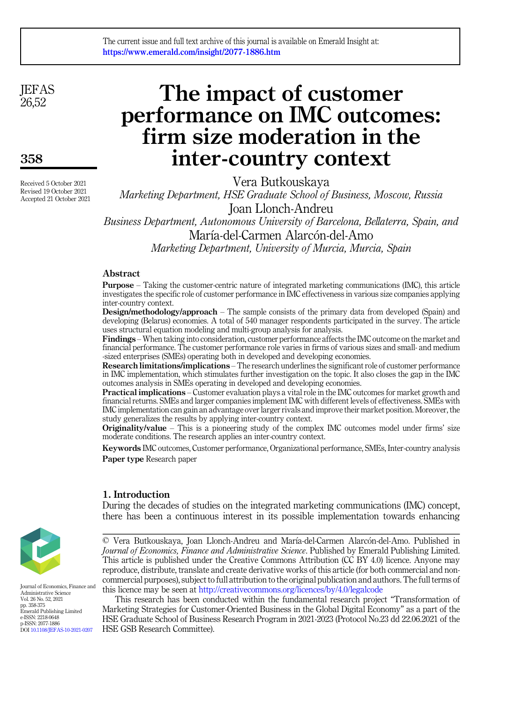**JEFAS** 26,52

358

Received 5 October 2021 Revised 19 October 2021 Accepted 21 October 2021

# The impact of customer performance on IMC outcomes: firm size moderation in the inter-country context

Vera Butkouskaya

Marketing Department, HSE Graduate School of Business, Moscow, Russia Joan Llonch-Andreu

Business Department, Autonomous University of Barcelona, Bellaterra, Spain, and María-del-Carmen Alarcón-del-Amo

Marketing Department, University of Murcia, Murcia, Spain

# Abstract

Purpose – Taking the customer-centric nature of integrated marketing communications (IMC), this article investigates the specific role of customer performance in IMC effectiveness in various size companies applying inter-country context.

Design/methodology/approach – The sample consists of the primary data from developed (Spain) and developing (Belarus) economies. A total of 540 manager respondents participated in the survey. The article uses structural equation modeling and multi-group analysis for analysis.

Findings – When taking into consideration, customer performance affects the IMC outcome on the market and financial performance. The customer performance role varies in firms of various sizes and small- and medium -sized enterprises (SMEs) operating both in developed and developing economies.

Research limitations/implications – The research underlines the significant role of customer performance in IMC implementation, which stimulates further investigation on the topic. It also closes the gap in the IMC outcomes analysis in SMEs operating in developed and developing economies.

Practical implications – Customer evaluation plays a vital role in the IMC outcomes for market growth and financial returns. SMEs and larger companies implement IMC with different levels of effectiveness. SMEs with IMC implementation can gain an advantage over larger rivals and improve their market position. Moreover, the study generalizes the results by applying inter-country context.

Originality/value – This is a pioneering study of the complex IMC outcomes model under firms' size moderate conditions. The research applies an inter-country context.

Keywords IMC outcomes, Customer performance, Organizational performance, SMEs, Inter-country analysis Paper type Research paper

# 1. Introduction

During the decades of studies on the integrated marketing communications (IMC) concept, there has been a continuous interest in its possible implementation towards enhancing



Journal of Economics, Finance and Administrative Science Vol. 26 No. 52, 2021 pp. 358-375 Emerald Publishing Limited e-ISSN: 2218-0648 p-ISSN: 2077-1886 DOI [10.1108/JEFAS-10-2021-0207](https://doi.org/10.1108/JEFAS-10-2021-0207)

© Vera Butkouskaya, Joan Llonch-Andreu and Marıa-del-Carmen Alarcon-del-Amo. Published in Journal of Economics, Finance and Administrative Science. Published by Emerald Publishing Limited. This article is published under the Creative Commons Attribution (CC BY 4.0) licence. Anyone may reproduce, distribute, translate and create derivative works of this article (for both commercial and noncommercial purposes), subject to full attribution to the original publication and authors. The full terms of this licence may be seen at <http://creativecommons.org/licences/by/4.0/legalcode>

This research has been conducted within the fundamental research project "Transformation of Marketing Strategies for Customer-Oriented Business in the Global Digital Economy" as a part of the HSE Graduate School of Business Research Program in 2021-2023 (Protocol No.23 dd 22.06.2021 of the HSE GSB Research Committee).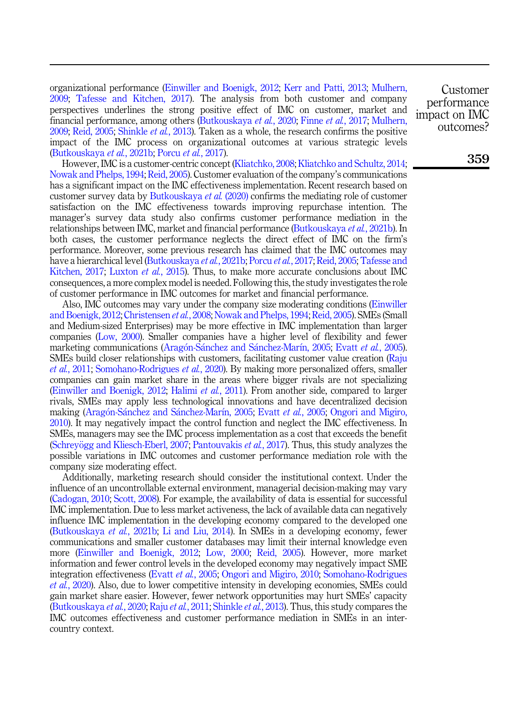organizational performance ([Einwiller and Boenigk, 2012;](#page-13-0) [Kerr and Patti, 2013;](#page-14-0) [Mulhern,](#page-14-1) [2009;](#page-14-1) [Tafesse and Kitchen, 2017\)](#page-15-0). The analysis from both customer and company perspectives underlines the strong positive effect of IMC on customer, market and financial performance, among others [\(Butkouskaya](#page-13-1) et al., 2020; Finne et al.[, 2017](#page-13-2); [Mulhern,](#page-14-1) [2009;](#page-14-1) [Reid, 2005;](#page-14-2) [Shinkle](#page-15-1) *et al.*, 2013). Taken as a whole, the research confirms the positive impact of the IMC process on organizational outcomes at various strategic levels ([Butkouskaya](#page-13-3) et al., 2021b; [Porcu](#page-14-3) et al., 2017).

However, IMC is a customer-centric concept ([Kliatchko, 2008;](#page-14-4) [Kliatchko and Schultz, 2014](#page-14-5); [Nowak and Phelps, 1994;](#page-14-6) [Reid, 2005\)](#page-14-2). Customer evaluation of the company's communications has a significant impact on the IMC effectiveness implementation. Recent research based on customer survey data by [Butkouskaya](#page-13-1) et al. (2020) confirms the mediating role of customer satisfaction on the IMC effectiveness towards improving repurchase intention. The manager's survey data study also confirms customer performance mediation in the relationships between IMC, market and financial performance [\(Butkouskaya](#page-13-3) et al., 2021b). In both cases, the customer performance neglects the direct effect of IMC on the firm's performance. Moreover, some previous research has claimed that the IMC outcomes may have a hierarchical level [\(Butkouskaya](#page-13-3) *et al.*, 2021b; [Porcu](#page-14-3) *et al.*, 2017; [Reid, 2005;](#page-14-2) [Tafesse and](#page-15-0) [Kitchen, 2017;](#page-15-0) [Luxton](#page-14-7) et al., 2015). Thus, to make more accurate conclusions about IMC consequences, a more complex model is needed. Following this, the study investigates the role of customer performance in IMC outcomes for market and financial performance.

Also, IMC outcomes may vary under the company size moderating conditions ([Einwiller](#page-13-0) [and Boenigk, 2012;](#page-13-0) [Christensen](#page-13-4) et al., 2008; [Nowak and Phelps, 1994;](#page-14-6) [Reid, 2005](#page-14-2)). SMEs (Small and Medium-sized Enterprises) may be more effective in IMC implementation than larger companies ([Low, 2000](#page-14-8)). Smaller companies have a higher level of flexibility and fewer marketing communications [\(Arag](#page-12-0)ón-Sá[nchez and S](#page-12-0)ánchez-Marí[n, 2005;](#page-12-0) Evatt et al.[, 2005\)](#page-13-5). SMEs build closer relationships with customers, facilitating customer value creation [\(Raju](#page-14-9) et al.[, 2011;](#page-14-9) [Somohano-Rodrigues](#page-15-2) et al., 2020). By making more personalized offers, smaller companies can gain market share in the areas where bigger rivals are not specializing ([Einwiller and Boenigk, 2012](#page-13-0); [Halimi](#page-13-6) et al., 2011). From another side, compared to larger rivals, SMEs may apply less technological innovations and have decentralized decision making ([Arag](#page-12-0)ó[n-S](#page-12-0)ánchez and Sá[nchez-Mar](#page-12-0)í[n, 2005;](#page-12-0) Evatt et al.[, 2005;](#page-13-5) [Ongori and Migiro,](#page-14-10) [2010\)](#page-14-10). It may negatively impact the control function and neglect the IMC effectiveness. In SMEs, managers may see the IMC process implementation as a cost that exceeds the benefit ([Schrey](#page-15-3)ögg and Kliesch-Eberl, 2007; [Pantouvakis](#page-14-11) *et al.*, 2017). Thus, this study analyzes the possible variations in IMC outcomes and customer performance mediation role with the company size moderating effect.

Additionally, marketing research should consider the institutional context. Under the influence of an uncontrollable external environment, managerial decision-making may vary ([Cadogan, 2010](#page-13-7); [Scott, 2008](#page-15-4)). For example, the availability of data is essential for successful IMC implementation. Due to less market activeness, the lack of available data can negatively influence IMC implementation in the developing economy compared to the developed one ([Butkouskaya](#page-13-3) et al., 2021b; [Li and Liu, 2014](#page-14-12)). In SMEs in a developing economy, fewer communications and smaller customer databases may limit their internal knowledge even more [\(Einwiller and Boenigk, 2012;](#page-13-0) [Low, 2000](#page-14-8); [Reid, 2005](#page-14-2)). However, more market information and fewer control levels in the developed economy may negatively impact SME integration effectiveness (Evatt et al.[, 2005](#page-13-5); [Ongori and Migiro, 2010](#page-14-10); [Somohano-Rodrigues](#page-15-2) et al.[, 2020](#page-15-2)). Also, due to lower competitive intensity in developing economies, SMEs could gain market share easier. However, fewer network opportunities may hurt SMEs' capacity ([Butkouskaya](#page-13-1) et al., 2020; Raju et al.[, 2011;](#page-14-9) [Shinkle](#page-15-1) et al., 2013). Thus, this study compares the IMC outcomes effectiveness and customer performance mediation in SMEs in an intercountry context.

Customer performance impact on IMC outcomes?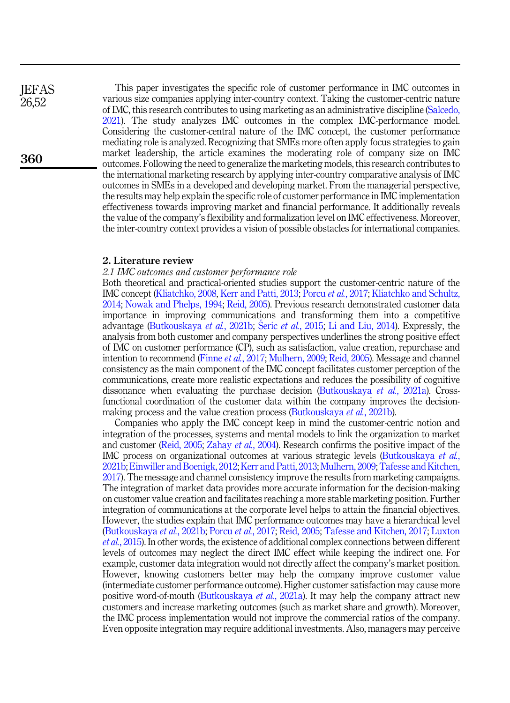**IEFAS** 26,52

360

This paper investigates the specific role of customer performance in IMC outcomes in various size companies applying inter-country context. Taking the customer-centric nature of IMC, this research contributes to using marketing as an administrative discipline [\(Salcedo,](#page-15-5) [2021](#page-15-5)). The study analyzes IMC outcomes in the complex IMC-performance model. Considering the customer-central nature of the IMC concept, the customer performance mediating role is analyzed. Recognizing that SMEs more often apply focus strategies to gain market leadership, the article examines the moderating role of company size on IMC outcomes. Following the need to generalize the marketing models, this research contributes to the international marketing research by applying inter-country comparative analysis of IMC outcomes in SMEs in a developed and developing market. From the managerial perspective, the results may help explain the specific role of customer performance in IMC implementation effectiveness towards improving market and financial performance. It additionally reveals the value of the company's flexibility and formalization level on IMC effectiveness. Moreover, the inter-country context provides a vision of possible obstacles for international companies.

## 2. Literature review

## 2.1 IMC outcomes and customer performance role

Both theoretical and practical-oriented studies support the customer-centric nature of the IMC concept ([Kliatchko, 2008](#page-14-4), [Kerr and Patti, 2013;](#page-14-0) [Porcu](#page-14-3) et al., 2017; [Kliatchko and Schultz,](#page-14-5) [2014;](#page-14-5) [Nowak and Phelps, 1994](#page-14-6); [Reid, 2005\)](#page-14-2). Previous research demonstrated customer data importance in improving communications and transforming them into a competitive advantage ([Butkouskaya](#page-13-3) et al., 2021b; Šeric et al.[, 2015;](#page-15-6) [Li and Liu, 2014](#page-14-12)). Expressly, the analysis from both customer and company perspectives underlines the strong positive effect of IMC on customer performance (CP), such as satisfaction, value creation, repurchase and intention to recommend (Finne et al.[, 2017](#page-13-2); [Mulhern, 2009](#page-14-1); [Reid, 2005\)](#page-14-2). Message and channel consistency as the main component of the IMC concept facilitates customer perception of the communications, create more realistic expectations and reduces the possibility of cognitive dissonance when evaluating the purchase decision [\(Butkouskaya](#page-13-8) et al., 2021a). Crossfunctional coordination of the customer data within the company improves the decision-making process and the value creation process ([Butkouskaya](#page-13-3) *et al.*, 2021b).

Companies who apply the IMC concept keep in mind the customer-centric notion and integration of the processes, systems and mental models to link the organization to market and customer [\(Reid, 2005;](#page-14-2) [Zahay](#page-15-7) et al., 2004). Research confirms the positive impact of the IMC process on organizational outcomes at various strategic levels [\(Butkouskaya](#page-13-3) et al., [2021b;](#page-13-3) [Einwiller and Boenigk, 2012;](#page-13-0) [Kerr and Patti, 2013;](#page-14-0) [Mulhern, 2009;](#page-14-1) [Tafesse and Kitchen,](#page-15-0) [2017\)](#page-15-0). The message and channel consistency improve the results from marketing campaigns. The integration of market data provides more accurate information for the decision-making on customer value creation and facilitates reaching a more stable marketing position. Further integration of communications at the corporate level helps to attain the financial objectives. However, the studies explain that IMC performance outcomes may have a hierarchical level ([Butkouskaya](#page-13-3) et al., 2021b; [Porcu](#page-14-3) et al., 2017; [Reid, 2005;](#page-14-2) [Tafesse and Kitchen, 2017](#page-15-0); [Luxton](#page-14-7) et al.[, 2015](#page-14-7)). In other words, the existence of additional complex connections between different levels of outcomes may neglect the direct IMC effect while keeping the indirect one. For example, customer data integration would not directly affect the company's market position. However, knowing customers better may help the company improve customer value (intermediate customer performance outcome). Higher customer satisfaction may cause more positive word-of-mouth ([Butkouskaya](#page-13-8) et al., 2021a). It may help the company attract new customers and increase marketing outcomes (such as market share and growth). Moreover, the IMC process implementation would not improve the commercial ratios of the company. Even opposite integration may require additional investments. Also, managers may perceive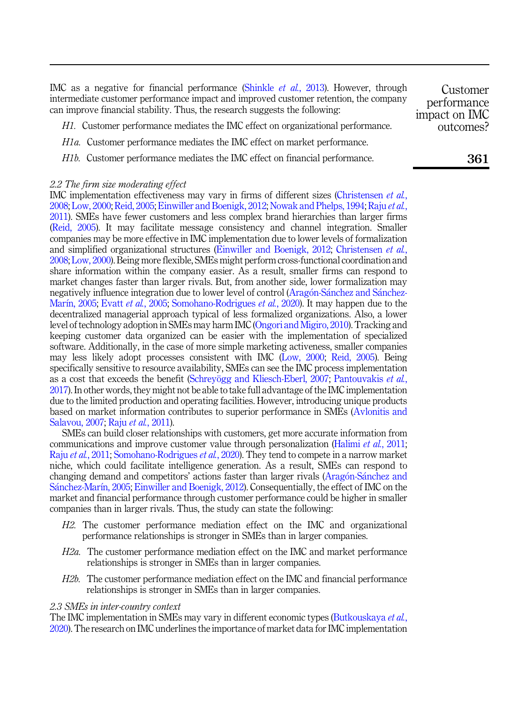IMC as a negative for financial performance ([Shinkle](#page-15-1) et al., 2013). However, through intermediate customer performance impact and improved customer retention, the company can improve financial stability. Thus, the research suggests the following: impact on IMC

<span id="page-3-2"></span>H1. Customer performance mediates the IMC effect on organizational performance.

- <span id="page-3-0"></span>H1a. Customer performance mediates the IMC effect on market performance.
- <span id="page-3-1"></span>H1b. Customer performance mediates the IMC effect on financial performance.

# 2.2 The firm size moderating effect

IMC implementation effectiveness may vary in firms of different sizes [\(Christensen](#page-13-4) et al., [2008;](#page-13-4) [Low, 2000](#page-14-8); [Reid, 2005](#page-14-2); [Einwiller and Boenigk, 2012;](#page-13-0) [Nowak and Phelps, 1994;](#page-14-6) [Raju](#page-14-9) et al., [2011\)](#page-14-9). SMEs have fewer customers and less complex brand hierarchies than larger firms ([Reid, 2005\)](#page-14-2). It may facilitate message consistency and channel integration. Smaller companies may be more effective in IMC implementation due to lower levels of formalization and simplified organizational structures [\(Einwiller and Boenigk, 2012;](#page-13-0) [Christensen](#page-13-4) *et al.*, [2008;](#page-13-4) [Low, 2000](#page-14-8)). Being more flexible, SMEs might perform cross-functional coordination and share information within the company easier. As a result, smaller firms can respond to market changes faster than larger rivals. But, from another side, lower formalization may negatively influence integration due to lower level of control ([Arag](#page-12-0)o[n-S](#page-12-0)[anchez and S](#page-12-0)a[nchez-](#page-12-0)[Mar](#page-12-0)í[n, 2005](#page-12-0); Evatt et al.[, 2005;](#page-13-5) [Somohano-Rodrigues](#page-15-2) et al., 2020). It may happen due to the decentralized managerial approach typical of less formalized organizations. Also, a lower level of technology adoption in SMEs may harm IMC ([Ongori and Migiro, 2010](#page-14-10)). Tracking and keeping customer data organized can be easier with the implementation of specialized software. Additionally, in the case of more simple marketing activeness, smaller companies may less likely adopt processes consistent with IMC ([Low, 2000;](#page-14-8) [Reid, 2005\)](#page-14-2). Being specifically sensitive to resource availability, SMEs can see the IMC process implementation as a cost that exceeds the benefit ([Schrey](#page-15-3)ögg and Kliesch-Eberl, 2007; [Pantouvakis](#page-14-11) *et al.*, [2017\)](#page-14-11). In other words, they might not be able to take full advantage of the IMC implementation due to the limited production and operating facilities. However, introducing unique products based on market information contributes to superior performance in SMEs ([Avlonitis and](#page-12-1) [Salavou, 2007;](#page-12-1) Raju et al.[, 2011\)](#page-14-9).

SMEs can build closer relationships with customers, get more accurate information from communications and improve customer value through personalization [\(Halimi](#page-13-6) *et al.*, 2011; Raju et al.[, 2011](#page-14-9); [Somohano-Rodrigues](#page-15-2) et al., 2020). They tend to compete in a narrow market niche, which could facilitate intelligence generation. As a result, SMEs can respond to changing demand and competitors' actions faster than larger rivals [\(Arag](#page-12-0)[on-S](#page-12-0)[anchez and](#page-12-0) [S](#page-12-0)á[nchez-Mar](#page-12-0)í[n, 2005](#page-12-0); [Einwiller and Boenigk, 2012\)](#page-13-0). Consequentially, the effect of IMC on the market and financial performance through customer performance could be higher in smaller companies than in larger rivals. Thus, the study can state the following:

- <span id="page-3-5"></span>H2. The customer performance mediation effect on the IMC and organizational performance relationships is stronger in SMEs than in larger companies.
- <span id="page-3-3"></span>H2a. The customer performance mediation effect on the IMC and market performance relationships is stronger in SMEs than in larger companies.
- <span id="page-3-4"></span>H2b. The customer performance mediation effect on the IMC and financial performance relationships is stronger in SMEs than in larger companies.

### 2.3 SMEs in inter-country context

The IMC implementation in SMEs may vary in different economic types ([Butkouskaya](#page-13-1) *et al.*, [2020\)](#page-13-1). The research on IMC underlines the importance of market data for IMC implementation 361

Customer performance

outcomes?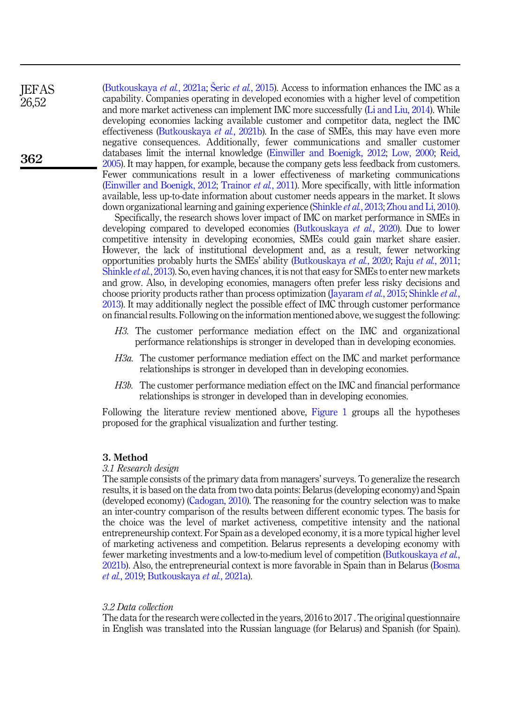([Butkouskaya](#page-13-8) et al., 2021a; Šeric et al.[, 2015](#page-15-6)). Access to information enhances the IMC as a capability. Companies operating in developed economies with a higher level of competition and more market activeness can implement IMC more successfully [\(Li and Liu, 2014](#page-14-12)). While developing economies lacking available customer and competitor data, neglect the IMC effectiveness ([Butkouskaya](#page-13-3) et al., 2021b). In the case of SMEs, this may have even more negative consequences. Additionally, fewer communications and smaller customer databases limit the internal knowledge ([Einwiller and Boenigk, 2012](#page-13-0); [Low, 2000;](#page-14-8) [Reid,](#page-14-2) [2005\)](#page-14-2). It may happen, for example, because the company gets less feedback from customers. Fewer communications result in a lower effectiveness of marketing communications ([Einwiller and Boenigk, 2012](#page-13-0); [Trainor](#page-15-8) et al., 2011). More specifically, with little information available, less up-to-date information about customer needs appears in the market. It slows down organizational learning and gaining experience [\(Shinkle](#page-15-1) *et al.*, 2013; [Zhou and Li, 2010\)](#page-15-9).

Specifically, the research shows lover impact of IMC on market performance in SMEs in developing compared to developed economies ([Butkouskaya](#page-13-1) et al., 2020). Due to lower competitive intensity in developing economies, SMEs could gain market share easier. However, the lack of institutional development and, as a result, fewer networking opportunities probably hurts the SMEs' ability [\(Butkouskaya](#page-13-1) et al., 2020; Raju et al.[, 2011](#page-14-9); [Shinkle](#page-15-1) et al., 2013). So, even having chances, it is not that easy for SMEs to enter new markets and grow. Also, in developing economies, managers often prefer less risky decisions and choose priority products rather than process optimization ([Jayaram](#page-14-13) *et al.*, 2015; [Shinkle](#page-15-1) *et al.*, [2013\)](#page-15-1). It may additionally neglect the possible effect of IMC through customer performance on financial results. Following on the information mentioned above, we suggest the following:

- <span id="page-4-2"></span>H3. The customer performance mediation effect on the IMC and organizational performance relationships is stronger in developed than in developing economies.
- <span id="page-4-0"></span>H3a. The customer performance mediation effect on the IMC and market performance relationships is stronger in developed than in developing economies.
- <span id="page-4-1"></span>H3b. The customer performance mediation effect on the IMC and financial performance relationships is stronger in developed than in developing economies.

Following the literature review mentioned above, [Figure 1](#page-5-0) groups all the hypotheses proposed for the graphical visualization and further testing.

# 3. Method

#### 3.1 Research design

The sample consists of the primary data from managers' surveys. To generalize the research results, it is based on the data from two data points: Belarus (developing economy) and Spain (developed economy) [\(Cadogan, 2010\)](#page-13-7). The reasoning for the country selection was to make an inter-country comparison of the results between different economic types. The basis for the choice was the level of market activeness, competitive intensity and the national entrepreneurship context. For Spain as a developed economy, it is a more typical higher level of marketing activeness and competition. Belarus represents a developing economy with fewer marketing investments and a low-to-medium level of competition [\(Butkouskaya](#page-13-3) et al., [2021b\)](#page-13-3). Also, the entrepreneurial context is more favorable in Spain than in Belarus ([Bosma](#page-13-9) et al.[, 2019;](#page-13-9) [Butkouskaya](#page-13-8) et al., 2021a).

# 3.2 Data collection

The data for the research were collected in the years, 2016 to 2017 . The original questionnaire in English was translated into the Russian language (for Belarus) and Spanish (for Spain).

**IEFAS** 26,52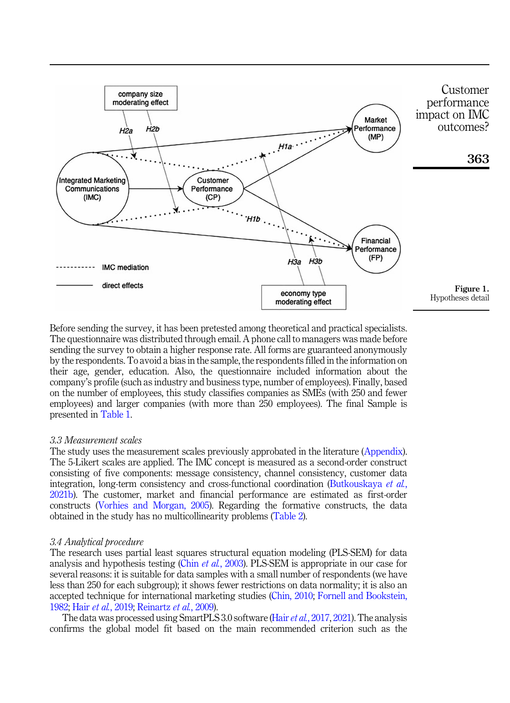<span id="page-5-0"></span>

Before sending the survey, it has been pretested among theoretical and practical specialists. The questionnaire was distributed through email. A phone call to managers was made before sending the survey to obtain a higher response rate. All forms are guaranteed anonymously by the respondents. To avoid a bias in the sample, the respondents filled in the information on their age, gender, education. Also, the questionnaire included information about the company's profile (such as industry and business type, number of employees). Finally, based on the number of employees, this study classifies companies as SMEs (with 250 and fewer employees) and larger companies (with more than 250 employees). The final Sample is presented in [Table 1](#page-6-0).

## 3.3 Measurement scales

The study uses the measurement scales previously approbated in the literature [\(Appendix\)](#page-16-0). The 5-Likert scales are applied. The IMC concept is measured as a second-order construct consisting of five components: message consistency, channel consistency, customer data integration, long-term consistency and cross-functional coordination [\(Butkouskaya](#page-13-3) et al., [2021b\)](#page-13-3). The customer, market and financial performance are estimated as first-order constructs ([Vorhies and Morgan, 2005\)](#page-15-10). Regarding the formative constructs, the data obtained in the study has no multicollinearity problems [\(Table 2](#page-6-0)).

# 3.4 Analytical procedure

The research uses partial least squares structural equation modeling (PLS-SEM) for data analysis and hypothesis testing (Chin et al.[, 2003](#page-13-10)). PLS-SEM is appropriate in our case for several reasons: it is suitable for data samples with a small number of respondents (we have less than 250 for each subgroup); it shows fewer restrictions on data normality; it is also an accepted technique for international marketing studies ([Chin, 2010;](#page-13-11) [Fornell and Bookstein,](#page-13-12) [1982;](#page-13-12) Hair et al.[, 2019;](#page-13-13) [Reinartz](#page-14-14) et al., 2009).

The data was processed using SmartPLS 3.0 software (Hair *et al.*[, 2017,](#page-13-14) [2021](#page-13-15)). The analysis confirms the global model fit based on the main recommended criterion such as the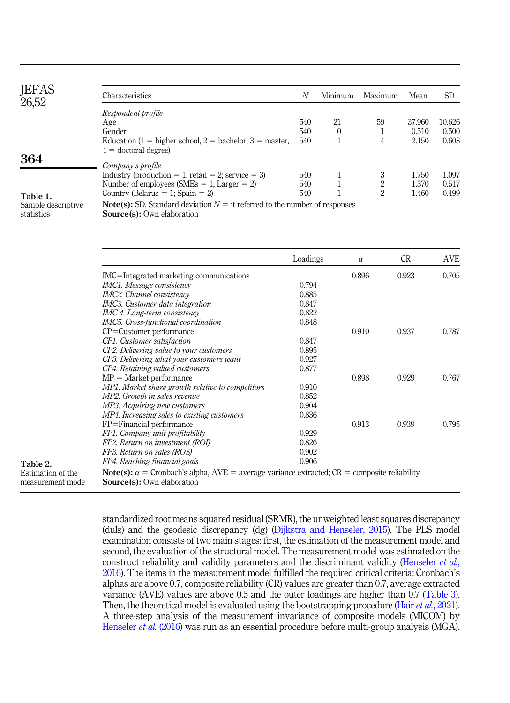<span id="page-6-0"></span>

| <b>JEFAS</b><br>26,52            | Characteristics                                                                                                          | N   | Minimum  | Maximum        | Mean   | <b>SD</b> |
|----------------------------------|--------------------------------------------------------------------------------------------------------------------------|-----|----------|----------------|--------|-----------|
|                                  | Respondent profile                                                                                                       |     |          |                |        |           |
|                                  | Age                                                                                                                      | 540 | 21       | 59             | 37.960 | 10.626    |
|                                  | Gender                                                                                                                   | 540 | $\theta$ |                | 0.510  | 0.500     |
|                                  | Education $(1 =$ higher school, $2 =$ bachelor, $3 =$ master,                                                            | 540 |          | 4              | 2.150  | 0.608     |
|                                  | $4 =$ doctoral degree)                                                                                                   |     |          |                |        |           |
| 364                              | Company's profile                                                                                                        |     |          |                |        |           |
|                                  | Industry (production = 1; retail = 2; service = 3)                                                                       | 540 |          | 3              | 1.750  | 1.097     |
|                                  | Number of employees (SMEs $= 1$ ; Larger $= 2$ )                                                                         | 540 |          | 2              | 1.370  | 0.517     |
| Table 1.                         | Country (Belarus = 1; Spain = 2)                                                                                         | 540 |          | $\overline{2}$ | 1.460  | 0.499     |
| Sample descriptive<br>statistics | <b>Note(s):</b> SD. Standard deviation $N =$ it referred to the number of responses<br><b>Source(s):</b> Own elaboration |     |          |                |        |           |

|                                                                                                           | Loadings | $\alpha$ | <b>CR</b> | <b>AVE</b> |
|-----------------------------------------------------------------------------------------------------------|----------|----------|-----------|------------|
| IMC=Integrated marketing communications                                                                   |          | 0.896    | 0.923     | 0.705      |
| IMC1. Message consistency                                                                                 | 0.794    |          |           |            |
| IMC2. Channel consistency                                                                                 | 0.885    |          |           |            |
| IMC3. Customer data integration                                                                           | 0.847    |          |           |            |
| IMC 4. Long-term consistency                                                                              | 0.822    |          |           |            |
| IMC5. Cross-functional coordination                                                                       | 0.848    |          |           |            |
| $CP =$ Customer performance                                                                               |          | 0.910    | 0.937     | 0.787      |
| CP1. Customer satisfaction                                                                                | 0.847    |          |           |            |
| CP2. Delivering value to your customers                                                                   | 0.895    |          |           |            |
| CP3. Delivering what your customers want                                                                  | 0.927    |          |           |            |
| CP4. Retaining valued customers                                                                           | 0.877    |          |           |            |
| $MP = Market$ performance                                                                                 |          | 0.898    | 0.929     | 0.767      |
| MP1. Market share growth relative to competitors                                                          | 0.910    |          |           |            |
| MP2. Growth in sales revenue                                                                              | 0.852    |          |           |            |
| MP3. Acquiring new customers                                                                              | 0.904    |          |           |            |
| MP4. Increasing sales to existing customers                                                               | 0.836    |          |           |            |
| FP=Financial performance                                                                                  |          | 0.913    | 0.939     | 0.795      |
| FP1. Company unit profitability                                                                           | 0.929    |          |           |            |
| FP2. Return on investment (ROI)                                                                           | 0.826    |          |           |            |
| FP3. Return on sales (ROS)                                                                                | 0.902    |          |           |            |
| FP4. Reaching financial goals                                                                             | 0.906    |          |           |            |
| <b>Note(s):</b> $\alpha$ = Cronbach's alpha, AVE = average variance extracted; CR = composite reliability |          |          |           |            |
| <b>Source(s):</b> Own elaboration                                                                         |          |          |           |            |
|                                                                                                           |          |          |           |            |

Table 2. Estimation of the measurement mod

> standardized root means squared residual (SRMR), the unweighted least squares discrepancy (duls) and the geodesic discrepancy (dg) [\(Dijkstra and Henseler, 2015\)](#page-13-16). The PLS model examination consists of two main stages: first, the estimation of the measurement model and second, the evaluation of the structural model. The measurement model was estimated on the construct reliability and validity parameters and the discriminant validity ([Henseler](#page-14-15) *et al.*, [2016\)](#page-14-15). The items in the measurement model fulfilled the required critical criteria: Cronbach's alphas are above 0.7, composite reliability (CR) values are greater than 0.7, average extracted variance (AVE) values are above 0.5 and the outer loadings are higher than 0.7 [\(Table 3\)](#page-7-0). Then, the theoretical model is evaluated using the bootstrapping procedure (Hair *et al.*[, 2021\)](#page-13-15). A three-step analysis of the measurement invariance of composite models (MICOM) by [Henseler](#page-14-15) et al. (2016) was run as an essential procedure before multi-group analysis (MGA).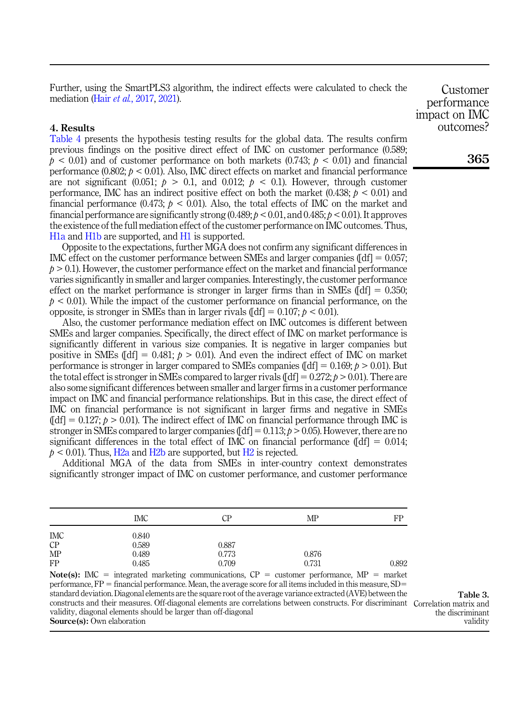<span id="page-7-0"></span>Further, using the SmartPLS3 algorithm, the indirect effects were calculated to check the mediation (Hair et al.[, 2017](#page-13-14), [2021](#page-13-15)).

## 4. Results

[Table 4](#page-8-0) presents the hypothesis testing results for the global data. The results confirm previous findings on the positive direct effect of IMC on customer performance (0.589;  $p < 0.01$  and of customer performance on both markets  $(0.743; p < 0.01)$  and financial performance  $(0.802; p < 0.01)$ . Also, IMC direct effects on market and financial performance are not significant (0.051;  $p > 0.1$ , and 0.012;  $p < 0.1$ ). However, through customer performance, IMC has an indirect positive effect on both the market  $(0.438; p < 0.01)$  and financial performance  $(0.473; b \le 0.01)$ . Also, the total effects of IMC on the market and financial performance are significantly strong  $(0.489; b \le 0.01,$  and  $0.485; b \le 0.01$ ). It approves the existence of the full mediation effect of the customer performance on IMC outcomes. Thus, [H1a](#page-3-0) and [H1b](#page-3-1) are supported, and [H1](#page-3-2) is supported.

Opposite to the expectations, further MGA does not confirm any significant differences in IMC effect on the customer performance between SMEs and larger companies  $[df] = 0.057$ ;  $p > 0.1$ ). However, the customer performance effect on the market and financial performance varies significantly in smaller and larger companies. Interestingly, the customer performance effect on the market performance is stronger in larger firms than in SMEs  $\llbracket df \rrbracket = 0.350$ :  $p < 0.01$ ). While the impact of the customer performance on financial performance, on the opposite, is stronger in SMEs than in larger rivals  $[dd] = 0.107$ ;  $p < 0.01$ ).

Also, the customer performance mediation effect on IMC outcomes is different between SMEs and larger companies. Specifically, the direct effect of IMC on market performance is significantly different in various size companies. It is negative in larger companies but positive in SMEs ([df] = 0.481;  $p > 0.01$ ). And even the indirect effect of IMC on market performance is stronger in larger compared to SMEs companies ( $\text{[df]} = 0.169$ ;  $p > 0.01$ ). But the total effect is stronger in SMEs compared to larger rivals  $[df] = 0.272$ ;  $p > 0.01$ ). There are also some significant differences between smaller and larger firms in a customer performance impact on IMC and financial performance relationships. But in this case, the direct effect of IMC on financial performance is not significant in larger firms and negative in SMEs  $[16] = 0.127$ ;  $\phi > 0.01$ ). The indirect effect of IMC on financial performance through IMC is stronger in SMEs compared to larger companies ( $\text{[df]} = 0.113$ ;  $p > 0.05$ ). However, there are no significant differences in the total effect of IMC on financial performance  $[dd] = 0.014$ ;  $p < 0.01$ ). Thus, [H2a](#page-3-3) and [H2b](#page-3-4) are supported, but [H2](#page-3-5) is rejected.

Additional MGA of the data from SMEs in inter-country context demonstrates significantly stronger impact of IMC on customer performance, and customer performance

|           | <b>IMC</b> | СP    | MP    | FP    |
|-----------|------------|-------|-------|-------|
| IMC       | 0.840      |       |       |       |
| $\cal CP$ | 0.589      | 0.887 |       |       |
| MP        | 0.489      | 0.773 | 0.876 |       |
| FP        | 0.485      | 0.709 | 0.731 | 0.892 |

Note(s): IMC = integrated marketing communications,  $CP =$  customer performance, MP = market performance,  $FP =$  financial performance. Mean, the average score for all items included in this measure, SD= standard deviation. Diagonal elements are the square root of the average variance extracted (AVE) between the constructs and their measures. Off-diagonal elements are correlations between constructs. For discriminant Correlation matrix and validity, diagonal elements should be larger than off-diagonal Source(s): Own elaboration

Table 3. the discriminant validity

Customer performance impact on IMC outcomes?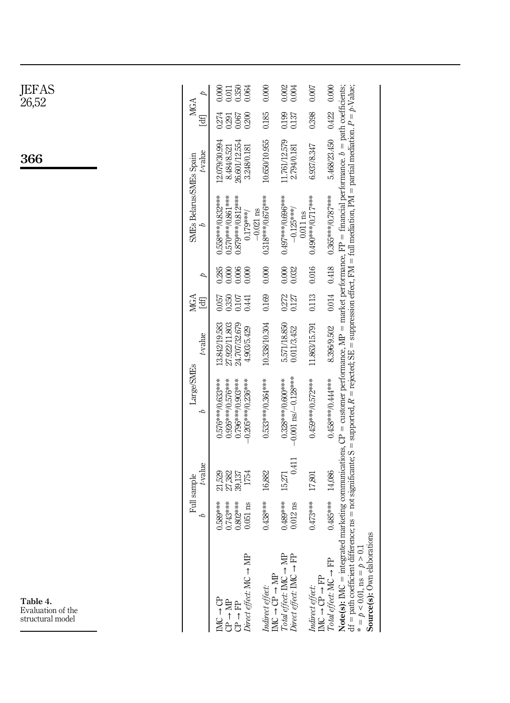<span id="page-8-0"></span>

| JEFAS<br>26,52                                    |                         | 0.011<br>0.350<br>0.064<br>0.000                                                      | 0.000                                                                                                                   | 0.002<br>0.004                                                                                     | 0.007                                                                                                             | 0.000                                                                                                                                                                                                                                                                                                             |
|---------------------------------------------------|-------------------------|---------------------------------------------------------------------------------------|-------------------------------------------------------------------------------------------------------------------------|----------------------------------------------------------------------------------------------------|-------------------------------------------------------------------------------------------------------------------|-------------------------------------------------------------------------------------------------------------------------------------------------------------------------------------------------------------------------------------------------------------------------------------------------------------------|
|                                                   | MGA<br>[df              | 0.274<br>0.200<br>0.067<br>0.291                                                      | 0.185                                                                                                                   | 0.199                                                                                              | 0.398                                                                                                             | 0.422                                                                                                                                                                                                                                                                                                             |
| 366                                               | t-value                 | 12.079/30.994<br>26.601/12.554<br>8.484/8.521<br>3.248/0.181                          | 10.650/10.955                                                                                                           | 11.761/12.579<br>2.794/0.181                                                                       | 6.937/8.347                                                                                                       | 5.468/23.450                                                                                                                                                                                                                                                                                                      |
|                                                   | SMEs Belarus/SMEs Spain | 0.558****0.832****<br>0.570***0.861***<br>0.879***/0.812****<br>$0.179***$            | 0.318***(0.676****<br>$-0.021$ ns                                                                                       | 0.497***/0.696***<br>$-0.125***$                                                                   | 0.490***/0.717***<br>$0.011$ ns                                                                                   | 0.365****0.787****                                                                                                                                                                                                                                                                                                |
|                                                   | Þ                       | 0.285<br>0.006<br>0.000<br>0.000                                                      | 0.000                                                                                                                   | 0.000<br>0.032                                                                                     | 0.016                                                                                                             |                                                                                                                                                                                                                                                                                                                   |
|                                                   | MGA<br>$\Xi$            | 0.107<br>0.350<br>0.057<br>0.441                                                      | 0.169                                                                                                                   | 0.272<br>0.127                                                                                     | 0.113                                                                                                             | 0.014 0.418                                                                                                                                                                                                                                                                                                       |
|                                                   | t-value                 | 24.707/32.679<br>27.922/11.803<br>13.842/19.583<br>4.903/5.429                        | 10.338/10.304                                                                                                           | 5.571/18.850<br>0.011/3.452                                                                        | 11.863/15.791                                                                                                     | 8.396/9.502                                                                                                                                                                                                                                                                                                       |
|                                                   | Large/SMEs<br>δ         | 0.926***/0.576****<br>0.796***/0.903***<br>0.576***/0.633****<br>$-0.205***/0.236***$ | 0.533****0.364***                                                                                                       | $-0.001$ ns/ $-0.128***$<br>0.328***/0.600***                                                      | 0.459***/0.572****                                                                                                | marketing communications, $CP =$ customer performance, $MP =$ market performance, $FP =$ financial performance. $b =$ path coefficients,<br>0.458****0.44***                                                                                                                                                      |
|                                                   | t-value<br>Full sample  | 27,382<br>39,137<br>1754<br>21,529                                                    | 16,882                                                                                                                  | 0.411<br>15,271                                                                                    | 17,801                                                                                                            | 14,086                                                                                                                                                                                                                                                                                                            |
|                                                   | δ                       | 0.743***<br>0.802***<br>0.589***<br>$0.051$ ns                                        | $0.438***$                                                                                                              | 0.489***<br>$0.012$ ns                                                                             | $0.473***$                                                                                                        | $0.485***$<br>suo                                                                                                                                                                                                                                                                                                 |
| Table 4.<br>Evaluation of the<br>structural model |                         | Direct effect: $MC \rightarrow MF$<br>ö<br>1<br>2<br><b>皇</b><br>台<br>台               | $\begin{array}{l} \textit{Indirect effect:}\\ \textit{INC} \rightarrow \textit{CP} \rightarrow \textit{MP} \end{array}$ | $Total \mathit{effect} \colon \mathit{IMC} \to \mathit{MP}$<br>Direct effect: $IMC \rightarrow FP$ | $\begin{array}{l} \textit{Indirect effect:}\\ \text{IMC} \rightarrow \text{CP} \rightarrow \text{FP} \end{array}$ | df = path coefficient difference; ns = not significante; S = supported, $R$ = rejected; SE = suppression effect, FM = full mediation, PM = partial mediation. $P = p$ -Value;<br>$Note(s): INC = integrate$<br>Source(s): Own elaboration<br>$* = p < 0.01$ , ns = $p > 0.1$<br>$Total effect: MC \rightarrow FP$ |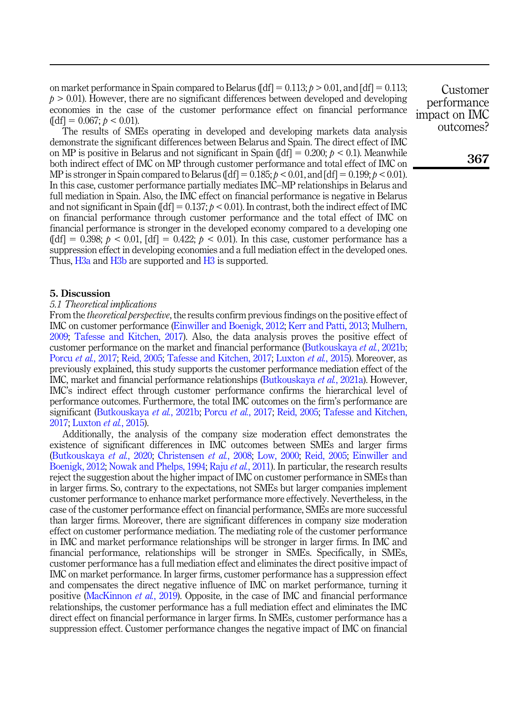on market performance in Spain compared to Belarus ( $\text{[df]} = 0.113$ ;  $p > 0.01$ , and  $\text{[df]} = 0.113$ ;  $p > 0.01$ ). However, there are no significant differences between developed and developing economies in the case of the customer performance effect on financial performance  $\left[\text{d}f\right] = 0.067$ ;  $p < 0.01$ ).

The results of SMEs operating in developed and developing markets data analysis demonstrate the significant differences between Belarus and Spain. The direct effect of IMC on MP is positive in Belarus and not significant in Spain ( $\text{[df]} = 0.200$ ;  $p < 0.1$ ). Meanwhile both indirect effect of IMC on MP through customer performance and total effect of IMC on MP is stronger in Spain compared to Belarus ( $\text{[df]} = 0.185$ ;  $\phi < 0.01$ , and  $\text{[df]} = 0.199$ ;  $\phi < 0.01$ ). In this case, customer performance partially mediates IMC–MP relationships in Belarus and full mediation in Spain. Also, the IMC effect on financial performance is negative in Belarus and not significant in Spain ( $\text{[df]} = 0.137$ ;  $p < 0.01$ ). In contrast, both the indirect effect of IMC on financial performance through customer performance and the total effect of IMC on financial performance is stronger in the developed economy compared to a developing one  $\left[\text{dft}\right] = 0.398$ ;  $p < 0.01$ ,  $\left[\text{dft}\right] = 0.422$ ;  $p < 0.01$ ). In this case, customer performance has a suppression effect in developing economies and a full mediation effect in the developed ones. Thus, H<sub>3</sub>a and H<sub>3</sub>b are supported and H<sub>3</sub> is supported.

# 5. Discussion

## 5.1 Theoretical implications

From the *theoretical perspective*, the results confirm previous findings on the positive effect of IMC on customer performance [\(Einwiller and Boenigk, 2012](#page-13-0); [Kerr and Patti, 2013;](#page-14-0) [Mulhern,](#page-14-1) [2009;](#page-14-1) [Tafesse and Kitchen, 2017](#page-15-0)). Also, the data analysis proves the positive effect of customer performance on the market and financial performance ([Butkouskaya](#page-13-3) *et al.*, 2021b; Porcu et al.[, 2017](#page-14-3); [Reid, 2005](#page-14-2); [Tafesse and Kitchen, 2017;](#page-15-0) [Luxton](#page-14-7) et al., 2015). Moreover, as previously explained, this study supports the customer performance mediation effect of the IMC, market and financial performance relationships [\(Butkouskaya](#page-13-8) et al., 2021a). However, IMC's indirect effect through customer performance confirms the hierarchical level of performance outcomes. Furthermore, the total IMC outcomes on the firm's performance are significant ([Butkouskaya](#page-13-3) et al., 2021b; Porcu et al.[, 2017](#page-14-3); [Reid, 2005](#page-14-2); [Tafesse and Kitchen,](#page-15-0) [2017;](#page-15-0) [Luxton](#page-14-7) et al., 2015).

Additionally, the analysis of the company size moderation effect demonstrates the existence of significant differences in IMC outcomes between SMEs and larger firms ([Butkouskaya](#page-13-1) et al., 2020; [Christensen](#page-13-4) et al., 2008; [Low, 2000](#page-14-8); [Reid, 2005;](#page-14-2) [Einwiller and](#page-13-0) [Boenigk, 2012;](#page-13-0) [Nowak and Phelps, 1994;](#page-14-6) Raju et al.[, 2011](#page-14-9)). In particular, the research results reject the suggestion about the higher impact of IMC on customer performance in SMEs than in larger firms. So, contrary to the expectations, not SMEs but larger companies implement customer performance to enhance market performance more effectively. Nevertheless, in the case of the customer performance effect on financial performance, SMEs are more successful than larger firms. Moreover, there are significant differences in company size moderation effect on customer performance mediation. The mediating role of the customer performance in IMC and market performance relationships will be stronger in larger firms. In IMC and financial performance, relationships will be stronger in SMEs. Specifically, in SMEs, customer performance has a full mediation effect and eliminates the direct positive impact of IMC on market performance. In larger firms, customer performance has a suppression effect and compensates the direct negative influence of IMC on market performance, turning it positive ([MacKinnon](#page-14-16) et al., 2019). Opposite, in the case of IMC and financial performance relationships, the customer performance has a full mediation effect and eliminates the IMC direct effect on financial performance in larger firms. In SMEs, customer performance has a suppression effect. Customer performance changes the negative impact of IMC on financial

Customer performance impact on IMC outcomes?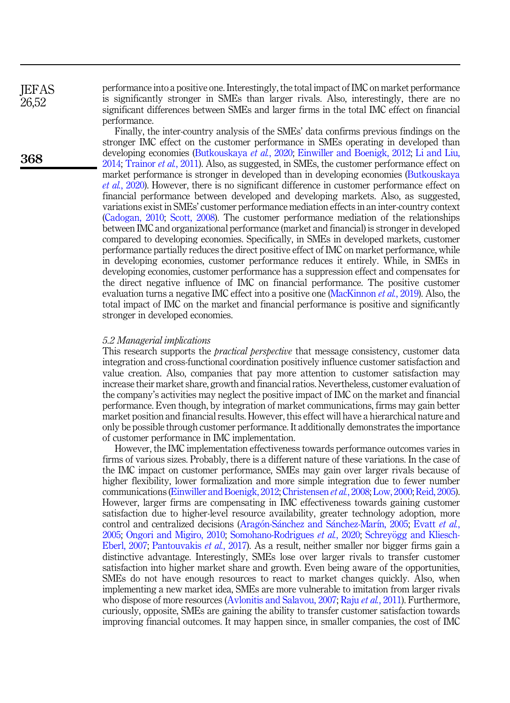performance into a positive one. Interestingly, the total impact of IMC on market performance is significantly stronger in SMEs than larger rivals. Also, interestingly, there are no significant differences between SMEs and larger firms in the total IMC effect on financial performance.

Finally, the inter-country analysis of the SMEs' data confirms previous findings on the stronger IMC effect on the customer performance in SMEs operating in developed than developing economies ([Butkouskaya](#page-13-1) et al., 2020; [Einwiller and Boenigk, 2012](#page-13-0); [Li and Liu,](#page-14-12) [2014;](#page-14-12) [Trainor](#page-15-8) et al., 2011). Also, as suggested, in SMEs, the customer performance effect on market performance is stronger in developed than in developing economies [\(Butkouskaya](#page-13-1) et al.[, 2020\)](#page-13-1). However, there is no significant difference in customer performance effect on financial performance between developed and developing markets. Also, as suggested, variations exist in SMEs' customer performance mediation effects in an inter-country context ([Cadogan, 2010;](#page-13-7) [Scott, 2008\)](#page-15-4). The customer performance mediation of the relationships between IMC and organizational performance (market and financial) is stronger in developed compared to developing economies. Specifically, in SMEs in developed markets, customer performance partially reduces the direct positive effect of IMC on market performance, while in developing economies, customer performance reduces it entirely. While, in SMEs in developing economies, customer performance has a suppression effect and compensates for the direct negative influence of IMC on financial performance. The positive customer evaluation turns a negative IMC effect into a positive one ([MacKinnon](#page-14-16) *et al.*, 2019). Also, the total impact of IMC on the market and financial performance is positive and significantly stronger in developed economies.

#### 5.2 Managerial implications

This research supports the *practical perspective* that message consistency, customer data integration and cross-functional coordination positively influence customer satisfaction and value creation. Also, companies that pay more attention to customer satisfaction may increase their market share, growth and financial ratios. Nevertheless, customer evaluation of the company's activities may neglect the positive impact of IMC on the market and financial performance. Even though, by integration of market communications, firms may gain better market position and financial results. However, this effect will have a hierarchical nature and only be possible through customer performance. It additionally demonstrates the importance of customer performance in IMC implementation.

However, the IMC implementation effectiveness towards performance outcomes varies in firms of various sizes. Probably, there is a different nature of these variations. In the case of the IMC impact on customer performance, SMEs may gain over larger rivals because of higher flexibility, lower formalization and more simple integration due to fewer number communications [\(Einwiller and Boenigk, 2012](#page-13-0); [Christensen](#page-13-4) et al., 2008; [Low, 2000;](#page-14-8) [Reid, 2005\)](#page-14-2). However, larger firms are compensating in IMC effectiveness towards gaining customer satisfaction due to higher-level resource availability, greater technology adoption, more control and centralized decisions [\(Arag](#page-12-0)ón-Sá[nchez and S](#page-12-0)á[nchez-Mar](#page-12-0)í[n, 2005;](#page-12-0) [Evatt](#page-13-5) et al., [2005;](#page-13-5) [Ongori and Migiro, 2010;](#page-14-10) [Somohano-Rodrigues](#page-15-2) et al., 2020; [Schrey](#page-15-3)ögg and Kliesch-[Eberl, 2007](#page-15-3); [Pantouvakis](#page-14-11) et al., 2017). As a result, neither smaller nor bigger firms gain a distinctive advantage. Interestingly, SMEs lose over larger rivals to transfer customer satisfaction into higher market share and growth. Even being aware of the opportunities, SMEs do not have enough resources to react to market changes quickly. Also, when implementing a new market idea, SMEs are more vulnerable to imitation from larger rivals who dispose of more resources ([Avlonitis and Salavou, 2007;](#page-12-1) Raju *et al.*[, 2011\)](#page-14-9). Furthermore, curiously, opposite, SMEs are gaining the ability to transfer customer satisfaction towards improving financial outcomes. It may happen since, in smaller companies, the cost of IMC

**IEFAS** 26,52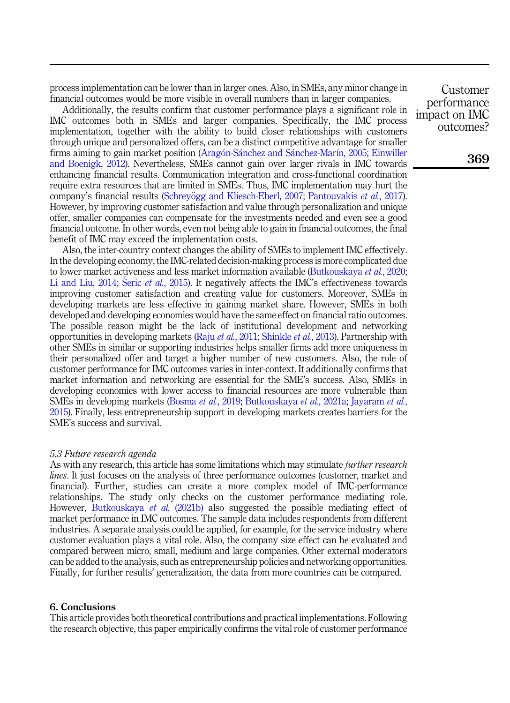process implementation can be lower than in larger ones. Also, in SMEs, any minor change in financial outcomes would be more visible in overall numbers than in larger companies.

Additionally, the results confirm that customer performance plays a significant role in IMC outcomes both in SMEs and larger companies. Specifically, the IMC process implementation, together with the ability to build closer relationships with customers through unique and personalized offers, can be a distinct competitive advantage for smaller firms aiming to gain market position [\(Arag](#page-12-0)ón-Sánchez and Sá[nchez-Mar](#page-12-0)í[n, 2005;](#page-12-0) [Einwiller](#page-13-0) [and Boenigk, 2012](#page-13-0)). Nevertheless, SMEs cannot gain over larger rivals in IMC towards enhancing financial results. Communication integration and cross-functional coordination require extra resources that are limited in SMEs. Thus, IMC implementation may hurt the company's financial results ([Schrey](#page-15-3)ögg and Kliesch-Eberl, 2007; [Pantouvakis](#page-14-11) *et al.*, 2017). However, by improving customer satisfaction and value through personalization and unique offer, smaller companies can compensate for the investments needed and even see a good financial outcome. In other words, even not being able to gain in financial outcomes, the final benefit of IMC may exceed the implementation costs.

Also, the inter-country context changes the ability of SMEs to implement IMC effectively. In the developing economy, the IMC-related decision-making process is more complicated due to lower market activeness and less market information available [\(Butkouskaya](#page-13-1) et al., 2020; [Li and Liu, 2014;](#page-14-12) Šeric et al.[, 2015\)](#page-15-6). It negatively affects the IMC's effectiveness towards improving customer satisfaction and creating value for customers. Moreover, SMEs in developing markets are less effective in gaining market share. However, SMEs in both developed and developing economies would have the same effect on financial ratio outcomes. The possible reason might be the lack of institutional development and networking opportunities in developing markets (Raju et al.[, 2011](#page-14-9); [Shinkle](#page-15-1) et al., 2013). Partnership with other SMEs in similar or supporting industries helps smaller firms add more uniqueness in their personalized offer and target a higher number of new customers. Also, the role of customer performance for IMC outcomes varies in inter-context. It additionally confirms that market information and networking are essential for the SME's success. Also, SMEs in developing economies with lower access to financial resources are more vulnerable than SMEs in developing markets ([Bosma](#page-13-9) et al., 2019; [Butkouskaya](#page-13-8) et al., 2021a; [Jayaram](#page-14-13) et al., [2015\)](#page-14-13). Finally, less entrepreneurship support in developing markets creates barriers for the SME's success and survival.

#### 5.3 Future research agenda

As with any research, this article has some limitations which may stimulate *further research* lines. It just focuses on the analysis of three performance outcomes (customer, market and financial). Further, studies can create a more complex model of IMC-performance relationships. The study only checks on the customer performance mediating role. However, [Butkouskaya](#page-13-3) *et al.* (2021b) also suggested the possible mediating effect of market performance in IMC outcomes. The sample data includes respondents from different industries. A separate analysis could be applied, for example, for the service industry where customer evaluation plays a vital role. Also, the company size effect can be evaluated and compared between micro, small, medium and large companies. Other external moderators can be added to the analysis, such as entrepreneurship policies and networking opportunities. Finally, for further results' generalization, the data from more countries can be compared.

## 6. Conclusions

This article provides both theoretical contributions and practical implementations. Following the research objective, this paper empirically confirms the vital role of customer performance

Customer performance impact on IMC outcomes?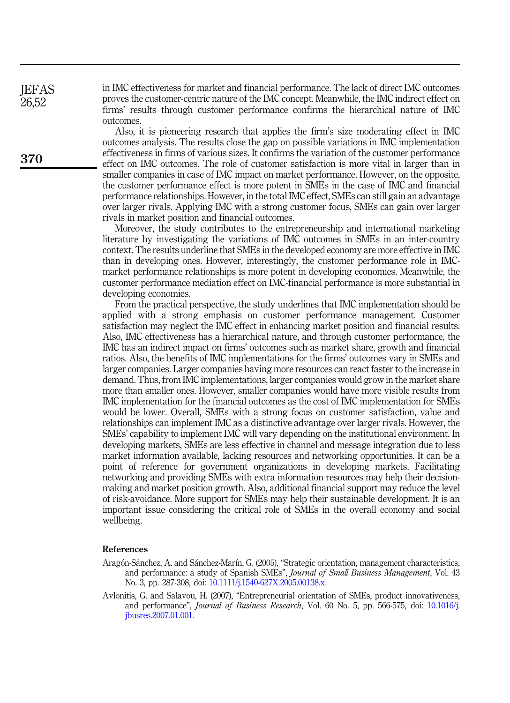in IMC effectiveness for market and financial performance. The lack of direct IMC outcomes proves the customer-centric nature of the IMC concept. Meanwhile, the IMC indirect effect on firms' results through customer performance confirms the hierarchical nature of IMC outcomes.

Also, it is pioneering research that applies the firm's size moderating effect in IMC outcomes analysis. The results close the gap on possible variations in IMC implementation effectiveness in firms of various sizes. It confirms the variation of the customer performance effect on IMC outcomes. The role of customer satisfaction is more vital in larger than in smaller companies in case of IMC impact on market performance. However, on the opposite, the customer performance effect is more potent in SMEs in the case of IMC and financial performance relationships. However, in the total IMC effect, SMEs can still gain an advantage over larger rivals. Applying IMC with a strong customer focus, SMEs can gain over larger rivals in market position and financial outcomes.

Moreover, the study contributes to the entrepreneurship and international marketing literature by investigating the variations of IMC outcomes in SMEs in an inter-country context. The results underline that SMEs in the developed economy are more effective in IMC than in developing ones. However, interestingly, the customer performance role in IMCmarket performance relationships is more potent in developing economies. Meanwhile, the customer performance mediation effect on IMC-financial performance is more substantial in developing economies.

From the practical perspective, the study underlines that IMC implementation should be applied with a strong emphasis on customer performance management. Customer satisfaction may neglect the IMC effect in enhancing market position and financial results. Also, IMC effectiveness has a hierarchical nature, and through customer performance, the IMC has an indirect impact on firms' outcomes such as market share, growth and financial ratios. Also, the benefits of IMC implementations for the firms' outcomes vary in SMEs and larger companies. Larger companies having more resources can react faster to the increase in demand. Thus, from IMC implementations, larger companies would grow in the market share more than smaller ones. However, smaller companies would have more visible results from IMC implementation for the financial outcomes as the cost of IMC implementation for SMEs would be lower. Overall, SMEs with a strong focus on customer satisfaction, value and relationships can implement IMC as a distinctive advantage over larger rivals. However, the SMEs' capability to implement IMC will vary depending on the institutional environment. In developing markets, SMEs are less effective in channel and message integration due to less market information available, lacking resources and networking opportunities. It can be a point of reference for government organizations in developing markets. Facilitating networking and providing SMEs with extra information resources may help their decisionmaking and market position growth. Also, additional financial support may reduce the level of risk-avoidance. More support for SMEs may help their sustainable development. It is an important issue considering the critical role of SMEs in the overall economy and social wellbeing.

## References

- <span id="page-12-0"></span>Aragón-Sánchez, A. and Sánchez-Marín, G. (2005), "Strategic orientation, management characteristics, and performance: a study of Spanish SMEs", Journal of Small Business Management, Vol. 43 No. 3, pp. 287-308, doi: [10.1111/j.1540-627X.2005.00138.x.](https://doi.org/10.1111/j.1540-627X.2005.00138.x)
- <span id="page-12-1"></span>Avlonitis, G. and Salavou, H. (2007), "Entrepreneurial orientation of SMEs, product innovativeness, and performance", Journal of Business Research, Vol. 60 No. 5, pp. 566-575, doi: [10.1016/j.](https://doi.org/10.1016/j.jbusres.2007.01.001) [jbusres.2007.01.001.](https://doi.org/10.1016/j.jbusres.2007.01.001)

370

**IEFAS** 26,52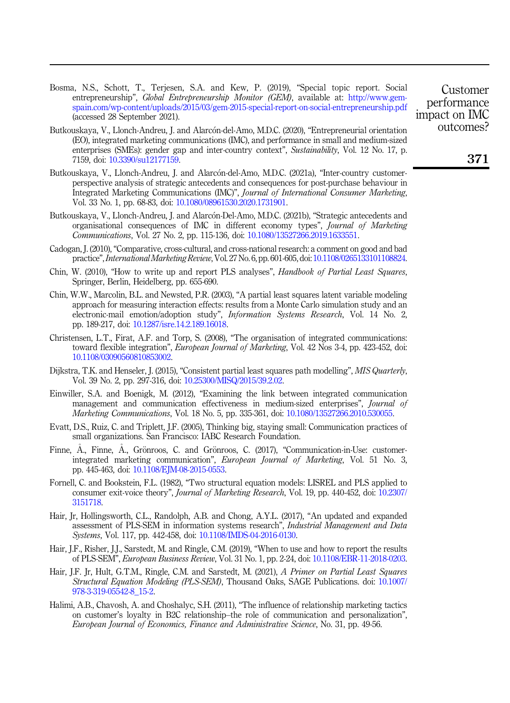<span id="page-13-9"></span>Bosma, N.S., Schott, T., Terjesen, S.A. and Kew, P. (2019), "Special topic report. Social entrepreneurship", Global Entrepreneurship Monitor (GEM), available at: [http://www.gem](http://www.gem-spain.com/wp-content/uploads/2015/03/gem-2015-special-report-on-social-entrepreneurship.pdf)[spain.com/wp-content/uploads/2015/03/gem-2015-special-report-on-social-entrepreneurship.pdf](http://www.gem-spain.com/wp-content/uploads/2015/03/gem-2015-special-report-on-social-entrepreneurship.pdf) (accessed 28 September 2021).

- <span id="page-13-1"></span>Butkouskaya, V., Llonch-Andreu, J. and Alarcón-del-Amo, M.D.C. (2020), "Entrepreneurial orientation (EO), integrated marketing communications (IMC), and performance in small and medium-sized enterprises (SMEs): gender gap and inter-country context", Sustainability, Vol. 12 No. 17, p. 7159, doi: [10.3390/su12177159.](https://doi.org/10.3390/su12177159)
- <span id="page-13-8"></span>Butkouskaya, V., Llonch-Andreu, J. and Alarcón-del-Amo, M.D.C. (2021a), "Inter-country customerperspective analysis of strategic antecedents and consequences for post-purchase behaviour in Integrated Marketing Communications (IMC)", Journal of International Consumer Marketing, Vol. 33 No. 1, pp. 68-83, doi: [10.1080/08961530.2020.1731901.](https://doi.org/10.1080/08961530.2020.1731901)
- <span id="page-13-3"></span>Butkouskaya, V., Llonch-Andreu, J. and Alarcón-Del-Amo, M.D.C. (2021b), "Strategic antecedents and organisational consequences of IMC in different economy types", Journal of Marketing Communications, Vol. 27 No. 2, pp. 115-136, doi: [10.1080/13527266.2019.1633551](https://doi.org/10.1080/13527266.2019.1633551).
- <span id="page-13-7"></span>Cadogan, J. (2010), "Comparative, cross-cultural, and cross-national research: a comment on good and bad practice",International Marketing Review, Vol. 27 No. 6, pp. 601-605, doi: [10.1108/0265133101108824](https://doi.org/10.1108/0265133101108824).
- <span id="page-13-11"></span>Chin, W. (2010), "How to write up and report PLS analyses", Handbook of Partial Least Sauares. Springer, Berlin, Heidelberg, pp. 655-690.
- <span id="page-13-10"></span>Chin, W.W., Marcolin, B.L. and Newsted, P.R. (2003), "A partial least squares latent variable modeling approach for measuring interaction effects: results from a Monte Carlo simulation study and an electronic-mail emotion/adoption study", Information Systems Research, Vol. 14 No. 2, pp. 189-217, doi: [10.1287/isre.14.2.189.16018](https://doi.org/10.1287/isre.14.2.189.16018).
- <span id="page-13-4"></span>Christensen, L.T., Firat, A.F. and Torp, S. (2008), "The organisation of integrated communications: toward flexible integration", *European Journal of Marketing*, Vol. 42 Nos 3-4, pp. 423-452, doi: [10.1108/03090560810853002](https://doi.org/10.1108/03090560810853002).
- <span id="page-13-16"></span>Dijkstra, T.K. and Henseler, J. (2015), "Consistent partial least squares path modelling", MIS Quarterly, Vol. 39 No. 2, pp. 297-316, doi: [10.25300/MISQ/2015/39.2.02](https://doi.org/10.25300/MISQ/2015/39.2.02).
- <span id="page-13-0"></span>Einwiller, S.A. and Boenigk, M. (2012), "Examining the link between integrated communication management and communication effectiveness in medium-sized enterprises", Journal of Marketing Communications, Vol. 18 No. 5, pp. 335-361, doi: [10.1080/13527266.2010.530055.](https://doi.org/10.1080/13527266.2010.530055)
- <span id="page-13-5"></span>Evatt, D.S., Ruiz, C. and Triplett, J.F. (2005), Thinking big, staying small: Communication practices of small organizations. San Francisco: IABC Research Foundation.
- <span id="page-13-2"></span>Finne, A., Finne, A., Grönroos, C. and Grönroos, C. (2017), "Communication-in-Use: customerintegrated marketing communication", European Journal of Marketing, Vol. 51 No. 3, pp. 445-463, doi: [10.1108/EJM-08-2015-0553.](https://doi.org/10.1108/EJM-08-2015-0553)
- <span id="page-13-12"></span>Fornell, C. and Bookstein, F.L. (1982), "Two structural equation models: LISREL and PLS applied to consumer exit-voice theory", Journal of Marketing Research, Vol. 19, pp. 440-452, doi: [10.2307/](https://doi.org/10.2307/3151718) [3151718.](https://doi.org/10.2307/3151718)
- <span id="page-13-14"></span>Hair, Jr, Hollingsworth, C.L., Randolph, A.B. and Chong, A.Y.L. (2017), "An updated and expanded assessment of PLS-SEM in information systems research", Industrial Management and Data Systems, Vol. 117, pp. 442-458, doi: [10.1108/IMDS-04-2016-0130](https://doi.org/10.1108/IMDS-04-2016-0130).
- <span id="page-13-13"></span>Hair, J.F., Risher, J.J., Sarstedt, M. and Ringle, C.M. (2019), "When to use and how to report the results of PLS-SEM", European Business Review, Vol. 31 No. 1, pp. 2-24, doi: [10.1108/EBR-11-2018-0203](https://doi.org/10.1108/EBR-11-2018-0203).
- <span id="page-13-15"></span>Hair, J.F. Jr, Hult, G.T.M., Ringle, C.M. and Sarstedt, M. (2021), A Primer on Partial Least Squares Structural Equation Modeling (PLS-SEM), Thousand Oaks, SAGE Publications. doi: [10.1007/](https://doi.org/10.1007/978-3-319-05542-8_15-2) [978-3-319-05542-8\\_15-2](https://doi.org/10.1007/978-3-319-05542-8_15-2).
- <span id="page-13-6"></span>Halimi, A.B., Chavosh, A. and Choshalyc, S.H. (2011), "The influence of relationship marketing tactics on customer's loyalty in B2C relationship–the role of communication and personalization", European Journal of Economics, Finance and Administrative Science, No. 31, pp. 49-56.

Customer performance impact on IMC outcomes?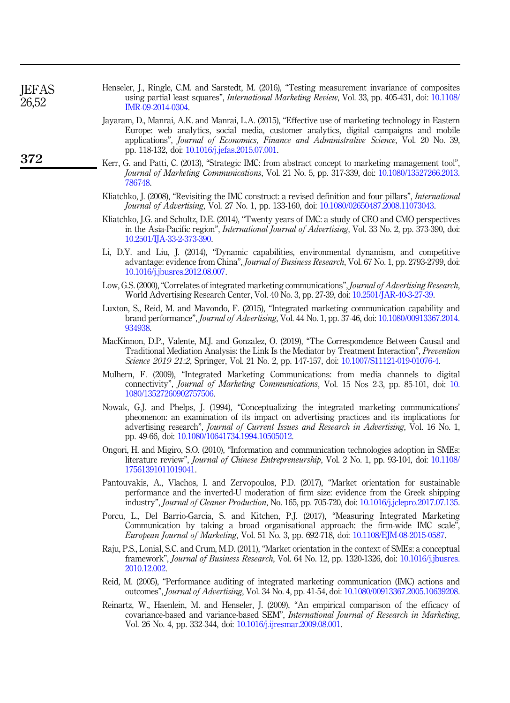<span id="page-14-15"></span>

| Henseler, J., Ringle, C.M. and Sarstedt, M. (2016), "Testing measurement invariance of composites |  |                                                                                                           |
|---------------------------------------------------------------------------------------------------|--|-----------------------------------------------------------------------------------------------------------|
|                                                                                                   |  | using partial least squares", <i>International Marketing Review</i> , Vol. 33, pp. 405-431, doi: 10.1108/ |
| IMR-09-2014-0304                                                                                  |  |                                                                                                           |

- <span id="page-14-13"></span>Jayaram, D., Manrai, A.K. and Manrai, L.A. (2015), "Effective use of marketing technology in Eastern Europe: web analytics, social media, customer analytics, digital campaigns and mobile applications", Journal of Economics, Finance and Administrative Science, Vol. 20 No. 39, pp. 118-132, doi: [10.1016/j.jefas.2015.07.001.](https://doi.org/10.1016/j.jefas.2015.07.001)
- <span id="page-14-0"></span>Kerr, G. and Patti, C. (2013), "Strategic IMC: from abstract concept to marketing management tool", Journal of Marketing Communications, Vol. 21 No. 5, pp. 317-339, doi: [10.1080/13527266.2013.](https://doi.org/10.1080/13527266.2013.786748) [786748.](https://doi.org/10.1080/13527266.2013.786748)
- <span id="page-14-4"></span>Kliatchko, J. (2008), "Revisiting the IMC construct: a revised definition and four pillars", *International* Journal of Advertising, Vol. 27 No. 1, pp. 133-160, doi: [10.1080/02650487.2008.11073043](https://doi.org/10.1080/02650487.2008.11073043).
- <span id="page-14-5"></span>Kliatchko, J.G. and Schultz, D.E. (2014), "Twenty years of IMC: a study of CEO and CMO perspectives in the Asia-Pacific region", International Journal of Advertising, Vol. 33 No. 2, pp. 373-390, doi: [10.2501/IJA-33-2-373-390](https://doi.org/10.2501/IJA-33-2-373-390).
- <span id="page-14-12"></span>Li, D.Y. and Liu, J. (2014), "Dynamic capabilities, environmental dynamism, and competitive advantage: evidence from China", Journal of Business Research, Vol. 67 No. 1, pp. 2793-2799, doi: [10.1016/j.jbusres.2012.08.007](https://doi.org/10.1016/j.jbusres.2012.08.007).
- <span id="page-14-8"></span>Low, G.S. (2000), "Correlates of integrated marketing communications", Journal of Advertising Research, World Advertising Research Center, Vol. 40 No. 3, pp. 27-39, doi: [10.2501/JAR-40-3-27-39](https://doi.org/10.2501/JAR-40-3-27-39).
- <span id="page-14-7"></span>Luxton, S., Reid, M. and Mavondo, F. (2015), "Integrated marketing communication capability and brand performance", Journal of Advertising, Vol. 44 No. 1, pp. 37-46, doi: [10.1080/00913367.2014.](https://doi.org/10.1080/00913367.2014.934938) [934938.](https://doi.org/10.1080/00913367.2014.934938)
- <span id="page-14-16"></span>MacKinnon, D.P., Valente, M.J. and Gonzalez, O. (2019), "The Correspondence Between Causal and Traditional Mediation Analysis: the Link Is the Mediator by Treatment Interaction", Prevention Science 2019 21:2, Springer, Vol. 21 No. 2, pp. 147-157, doi: [10.1007/S11121-019-01076-4.](https://doi.org/10.1007/S11121-019-01076-4)
- <span id="page-14-1"></span>Mulhern, F. (2009), "Integrated Marketing Communications: from media channels to digital connectivity", Journal of Marketing Communications, Vol. 15 Nos 2-3, pp. 85-101, doi: [10.](https://doi.org/10.1080/13527260902757506) [1080/13527260902757506.](https://doi.org/10.1080/13527260902757506)
- <span id="page-14-6"></span>Nowak, G.J. and Phelps, J. (1994), "Conceptualizing the integrated marketing communications' pheomenon: an examination of its impact on advertising practices and its implications for advertising research", Journal of Current Issues and Research in Advertising, Vol. 16 No. 1, pp. 49-66, doi: [10.1080/10641734.1994.10505012](https://doi.org/10.1080/10641734.1994.10505012).
- <span id="page-14-10"></span>Ongori, H. and Migiro, S.O. (2010), "Information and communication technologies adoption in SMEs: literature review", Journal of Chinese Entrepreneurship, Vol. 2 No. 1, pp. 93-104, doi: [10.1108/](https://doi.org/10.1108/17561391011019041) [17561391011019041.](https://doi.org/10.1108/17561391011019041)
- <span id="page-14-11"></span>Pantouvakis, A., Vlachos, I. and Zervopoulos, P.D. (2017), "Market orientation for sustainable performance and the inverted-U moderation of firm size: evidence from the Greek shipping industry", Journal of Cleaner Production, No. 165, pp. 705-720, doi: [10.1016/j.jclepro.2017.07.135](https://doi.org/10.1016/j.jclepro.2017.07.135).
- <span id="page-14-3"></span>Porcu, L., Del Barrio-Garcia, S. and Kitchen, P.J. (2017), "Measuring Integrated Marketing Communication by taking a broad organisational approach: the firm-wide IMC scale", European Journal of Marketing, Vol. 51 No. 3, pp. 692-718, doi: [10.1108/EJM-08-2015-0587](https://doi.org/10.1108/EJM-08-2015-0587).
- <span id="page-14-9"></span>Raju, P.S., Lonial, S.C. and Crum, M.D. (2011), "Market orientation in the context of SMEs: a conceptual framework", Journal of Business Research, Vol. 64 No. 12, pp. 1320-1326, doi: [10.1016/j.jbusres.](https://doi.org/10.1016/j.jbusres.2010.12.002) [2010.12.002](https://doi.org/10.1016/j.jbusres.2010.12.002).
- <span id="page-14-2"></span>Reid, M. (2005), "Performance auditing of integrated marketing communication (IMC) actions and outcomes", Journal of Advertising, Vol. 34 No. 4, pp. 41-54, doi: [10.1080/00913367.2005.10639208](https://doi.org/10.1080/00913367.2005.10639208).
- <span id="page-14-14"></span>Reinartz, W., Haenlein, M. and Henseler, J. (2009), "An empirical comparison of the efficacy of covariance-based and variance-based SEM", International Journal of Research in Marketing, Vol. 26 No. 4, pp. 332-344, doi: [10.1016/j.ijresmar.2009.08.001.](https://doi.org/10.1016/j.ijresmar.2009.08.001)

**JEFAS** 26,52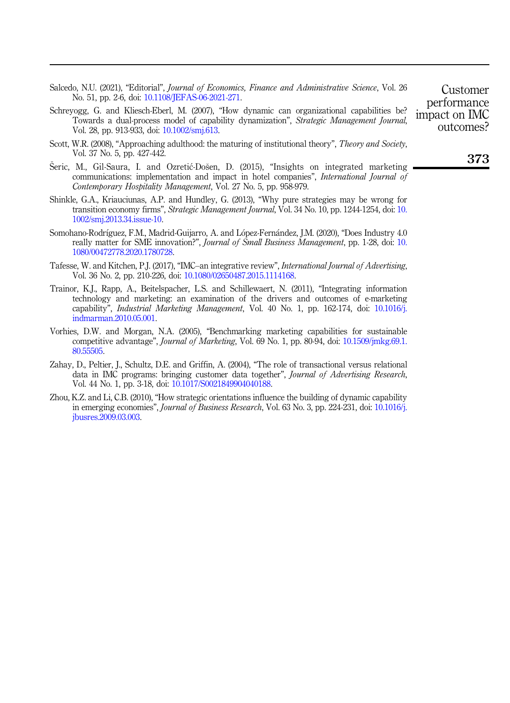- <span id="page-15-5"></span>Salcedo, N.U. (2021), "Editorial", Journal of Economics, Finance and Administrative Science, Vol. 26 No. 51, pp. 2-6, doi: [10.1108/JEFAS-06-2021-271.](https://doi.org/10.1108/JEFAS-06-2021-271)
- <span id="page-15-3"></span>Schreyogg, G. and Kliesch-Eberl, M. (2007), "How dynamic can organizational capabilities be? Towards a dual-process model of capability dynamization", Strategic Management Journal, Vol. 28, pp. 913-933, doi: [10.1002/smj.613.](https://doi.org/10.1002/smj.613)
- <span id="page-15-4"></span>Scott, W.R. (2008), "Approaching adulthood: the maturing of institutional theory", Theory and Society, Vol. 37 No. 5, pp. 427-442.
- <span id="page-15-6"></span> Seric, M., Gil-Saura, I. and Ozretic-Dosen, D. (2015), "Insights on integrated marketing communications: implementation and impact in hotel companies", International Journal of Contemporary Hospitality Management, Vol. 27 No. 5, pp. 958-979.
- <span id="page-15-1"></span>Shinkle, G.A., Kriauciunas, A.P. and Hundley, G. (2013), "Why pure strategies may be wrong for transition economy firms", Strategic Management Journal, Vol. 34 No. 10, pp. 1244-1254, doi: [10.](https://doi.org/10.1002/smj.2013.34.issue-10) [1002/smj.2013.34.issue-10](https://doi.org/10.1002/smj.2013.34.issue-10).
- <span id="page-15-2"></span>Somohano-Rodríguez, F.M., Madrid-Guijarro, A. and López-Fernández, J.M. (2020), "Does Industry 4.0 really matter for SME innovation?", Journal of Small Business Management, pp. 1-28, doi: [10.](https://doi.org/10.1080/00472778.2020.1780728) [1080/00472778.2020.1780728](https://doi.org/10.1080/00472778.2020.1780728).
- <span id="page-15-0"></span>Tafesse, W. and Kitchen, P.J. (2017), "IMC–an integrative review", International Journal of Advertising, Vol. 36 No. 2, pp. 210-226, doi: [10.1080/02650487.2015.1114168.](https://doi.org/10.1080/02650487.2015.1114168)
- <span id="page-15-8"></span>Trainor, K.J., Rapp, A., Beitelspacher, L.S. and Schillewaert, N. (2011), "Integrating information technology and marketing: an examination of the drivers and outcomes of e-marketing capability", Industrial Marketing Management, Vol. 40 No. 1, pp. 162-174, doi: [10.1016/j.](https://doi.org/10.1016/j.indmarman.2010.05.001) [indmarman.2010.05.001](https://doi.org/10.1016/j.indmarman.2010.05.001).
- <span id="page-15-10"></span>Vorhies, D.W. and Morgan, N.A. (2005), "Benchmarking marketing capabilities for sustainable competitive advantage", Journal of Marketing, Vol. 69 No. 1, pp. 80-94, doi: [10.1509/jmkg.69.1.](https://doi.org/10.1509/jmkg.69.1.80.55505) [80.55505.](https://doi.org/10.1509/jmkg.69.1.80.55505)
- <span id="page-15-7"></span>Zahay, D., Peltier, J., Schultz, D.E. and Griffin, A. (2004), "The role of transactional versus relational data in IMC programs: bringing customer data together", *Journal of Advertising Research*, Vol. 44 No. 1, pp. 3-18, doi: [10.1017/S0021849904040188](https://doi.org/10.1017/S0021849904040188).
- <span id="page-15-9"></span>Zhou, K.Z. and Li, C.B. (2010), "How strategic orientations influence the building of dynamic capability in emerging economies", Journal of Business Research, Vol. 63 No. 3, pp. 224-231, doi: [10.1016/j.](https://doi.org/10.1016/j.jbusres.2009.03.003) [jbusres.2009.03.003](https://doi.org/10.1016/j.jbusres.2009.03.003).

Customer performance impact on IMC outcomes?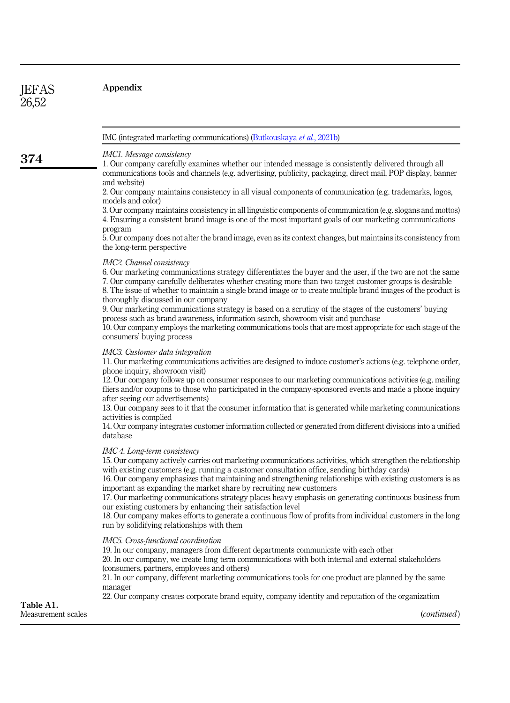**JEFAS** 26,52

374

<span id="page-16-0"></span>IMC (integrated marketing communications) ([Butkouskaya](#page-13-3) et al., 2021b)

IMC1. Message consistency

1. Our company carefully examines whether our intended message is consistently delivered through all communications tools and channels (e.g. advertising, publicity, packaging, direct mail, POP display, banner and website)

2. Our company maintains consistency in all visual components of communication (e.g. trademarks, logos, models and color)

3. Our company maintains consistency in all linguistic components of communication (e.g. slogans and mottos) 4. Ensuring a consistent brand image is one of the most important goals of our marketing communications program

5. Our company does not alter the brand image, even as its context changes, but maintains its consistency from the long-term perspective

#### IMC2. Channel consistency

6. Our marketing communications strategy differentiates the buyer and the user, if the two are not the same 7. Our company carefully deliberates whether creating more than two target customer groups is desirable 8. The issue of whether to maintain a single brand image or to create multiple brand images of the product is thoroughly discussed in our company

9. Our marketing communications strategy is based on a scrutiny of the stages of the customers' buying process such as brand awareness, information search, showroom visit and purchase

10. Our company employs the marketing communications tools that are most appropriate for each stage of the consumers' buying process

## IMC3. Customer data integration

11. Our marketing communications activities are designed to induce customer's actions (e.g. telephone order, phone inquiry, showroom visit)

12. Our company follows up on consumer responses to our marketing communications activities (e.g. mailing fliers and/or coupons to those who participated in the company-sponsored events and made a phone inquiry after seeing our advertisements)

13. Our company sees to it that the consumer information that is generated while marketing communications activities is complied

14. Our company integrates customer information collected or generated from different divisions into a unified database

#### IMC 4. Long-term consistency

15. Our company actively carries out marketing communications activities, which strengthen the relationship with existing customers (e.g. running a customer consultation office, sending birthday cards)

16. Our company emphasizes that maintaining and strengthening relationships with existing customers is as important as expanding the market share by recruiting new customers

17. Our marketing communications strategy places heavy emphasis on generating continuous business from our existing customers by enhancing their satisfaction level

18. Our company makes efforts to generate a continuous flow of profits from individual customers in the long run by solidifying relationships with them

#### IMC5. Cross-functional coordination

19. In our company, managers from different departments communicate with each other

20. In our company, we create long term communications with both internal and external stakeholders (consumers, partners, employees and others)

21. In our company, different marketing communications tools for one product are planned by the same manager

22. Our company creates corporate brand equity, company identity and reputation of the organization

Table A1. Measurement scales

(continued)